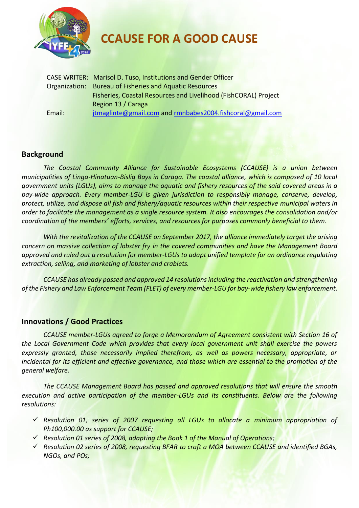

**CCAUSE FOR A GOOD CAUSE**

|        | <b>CASE WRITER: Marisol D. Tuso, Institutions and Gender Officer</b> |
|--------|----------------------------------------------------------------------|
|        | Organization: Bureau of Fisheries and Aquatic Resources              |
|        | Fisheries, Coastal Resources and Livelihood (FishCORAL) Project      |
|        | Region 13 / Caraga                                                   |
| Email: | jtmaglinte@gmail.com and rmnbabes2004.fishcoral@gmail.com            |

# **Background**

*The Coastal Community Alliance for Sustainable Ecosystems (CCAUSE) is a union between municipalities of Linga-Hinatuan-Bislig Bays in Caraga. The coastal alliance, which is composed of 10 local government units (LGUs), aims to manage the aquatic and fishery resources of the said covered areas in a bay-wide approach. Every member-LGU is given jurisdiction to responsibly manage, conserve, develop, protect, utilize, and dispose all fish and fishery/aquatic resources within their respective municipal waters in order to facilitate the management as a single resource system. It also encourages the consolidation and/or coordination of the members' efforts, services, and resources for purposes commonly beneficial to them.*

*With the revitalization of the CCAUSE on September 2017, the alliance immediately target the arising concern on massive collection of lobster fry in the covered communities and have the Management Board approved and ruled out a resolution for member-LGUs to adapt unified template for an ordinance regulating extraction, selling, and marketing of lobster and crablets.* 

*CCAUSE has already passed and approved 14 resolutions including the reactivation and strengthening of the Fishery and Law Enforcement Team (FLET) of every member-LGU for bay-wide fishery law enforcement.*

## **Innovations / Good Practices**

*CCAUSE member-LGUs agreed to forge a Memorandum of Agreement consistent with Section 16 of the Local Government Code which provides that every local government unit shall exercise the powers*  expressly granted, those necessarily implied therefrom, as well as powers necessary, appropriate, or *incidental for its efficient and effective governance, and those which are essential to the promotion of the general welfare.*

*The CCAUSE Management Board has passed and approved resolutions that will ensure the smooth execution and active participation of the member-LGUs and its constituents. Below are the following resolutions:*

- *Resolution 01, series of 2007 requesting all LGUs to allocate a minimum appropriation of Ph100,000.00 as support for CCAUSE;*
- *Resolution 01 series of 2008, adapting the Book 1 of the Manual of Operations;*
- *Resolution 02 series of 2008, requesting BFAR to craft a MOA between CCAUSE and identified BGAs, NGOs, and POs;*